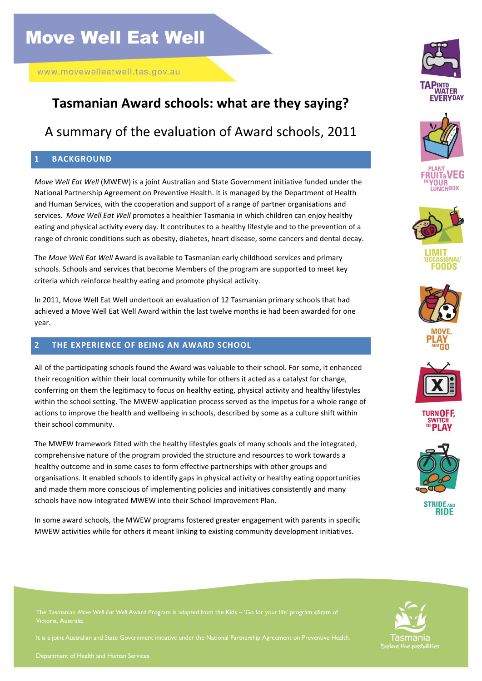## **Tasmanian Award schools: what are they saying?**

## A summary of the evaluation of Award schools, 2011

### **1 BACKGROUND**

*Move Well Eat Well* (MWEW) is a joint Australian and State Government initiative funded under the National Partnership Agreement on Preventive Health. It is managed by the Department of Health and Human Services, with the cooperation and support of a range of partner organisations and services. *Move Well Eat Well* promotes a healthier Tasmania in which children can enjoy healthy eating and physical activity every day. It contributes to a healthy lifestyle and to the prevention of a range of chronic conditions such as obesity, diabetes, heart disease, some cancers and dental decay.

The *Move Well Eat Well* Award is available to Tasmanian early childhood services and primary schools. Schools and services that become Members of the program are supported to meet key criteria which reinforce healthy eating and promote physical activity.

In 2011, Move Well Eat Well undertook an evaluation of 12 Tasmanian primary schools that had achieved a Move Well Eat Well Award within the last twelve months ie had been awarded for one year.

### **2 THE EXPERIENCE OF BEING AN AWARD SCHOOL**

All of the participating schools found the Award was valuable to their school. For some, it enhanced their recognition within their local community while for others it acted as a catalyst for change, conferring on them the legitimacy to focus on healthy eating, physical activity and healthy lifestyles within the school setting. The MWEW application process served as the impetus for a whole range of actions to improve the health and wellbeing in schools, described by some as a culture shift within their school community.

The MWEW framework fitted with the healthy lifestyles goals of many schools and the integrated, comprehensive nature of the program provided the structure and resources to work towards a healthy outcome and in some cases to form effective partnerships with other groups and organisations. It enabled schools to identify gaps in physical activity or healthy eating opportunities and made them more conscious of implementing policies and initiatives consistently and many schools have now integrated MWEW into their School Improvement Plan.

In some award schools, the MWEW programs fostered greater engagement with parents in specific MWEW activities while for others it meant linking to existing community development initiatives.























The Tasmanian *Move Well Eat Well* Award Program is adapted from the Kids – 'Go for your life' program ©State of